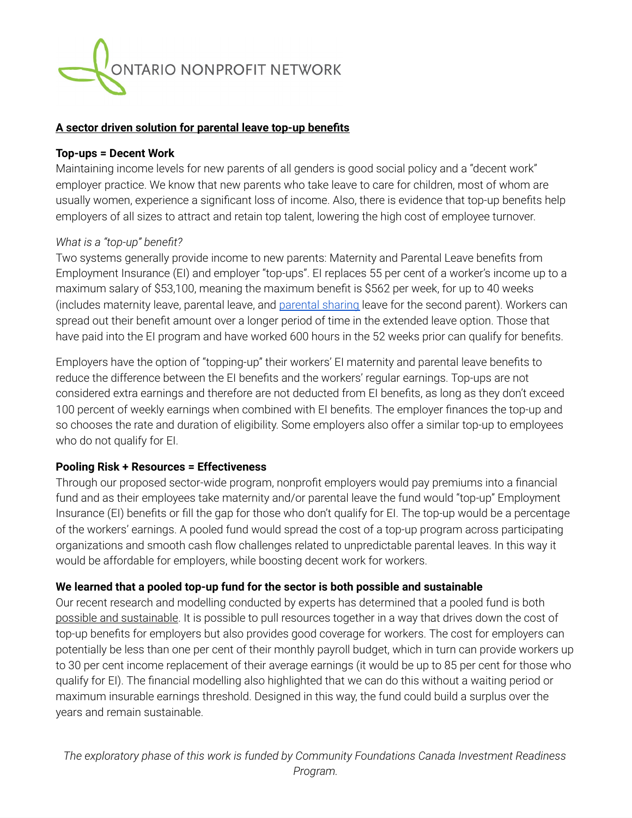

#### **A sector driven solution for parental leave top-up benefits**

#### **Top-ups = Decent Work**

Maintaining income levels for new parents of all genders is good social policy and a "decent work" employer practice. We know that new parents who take leave to care for children, most of whom are usually women, experience a significant loss of income. Also, there is evidence that top-up benefits help employers of all sizes to attract and retain top talent, lowering the high cost of employee turnover.

# *What is a "top-up" benefit?*

Two systems generally provide income to new parents: Maternity and Parental Leave benefits from Employment Insurance (EI) and employer "top-ups". EI replaces 55 per cent of a worker's income up to a maximum salary of \$53,100, meaning the maximum benefit is \$562 per week, for up to 40 weeks (includes maternity leave, parental leave, and [parental](https://www.canada.ca/en/employment-social-development/campaigns/ei-improvements/parent-sharing.html) sharing leave for the second parent). Workers can spread out their benefit amount over a longer period of time in the extended leave option. Those that have paid into the EI program and have worked 600 hours in the 52 weeks prior can qualify for benefits.

Employers have the option of "topping-up" their workers' EI maternity and parental leave benefits to reduce the difference between the EI benefits and the workers' regular earnings. Top-ups are not considered extra earnings and therefore are not deducted from EI benefits, as long as they don't exceed 100 percent of weekly earnings when combined with EI benefits. The employer finances the top-up and so chooses the rate and duration of eligibility. Some employers also offer a similar top-up to employees who do not qualify for EI.

# **Pooling Risk + Resources = Effectiveness**

Through our proposed sector-wide program, nonprofit employers would pay premiums into a financial fund and as their employees take maternity and/or parental leave the fund would "top-up" Employment Insurance (EI) benefits or fill the gap for those who don't qualify for EI. The top-up would be a percentage of the workers' earnings. A pooled fund would spread the cost of a top-up program across participating organizations and smooth cash flow challenges related to unpredictable parental leaves. In this way it would be affordable for employers, while boosting decent work for workers.

# **We learned that a pooled top-up fund for the sector is both possible and sustainable**

Our recent research and modelling conducted by experts has determined that a pooled fund is both possible and sustainable. It is possible to pull resources together in a way that drives down the cost of top-up benefits for employers but also provides good coverage for workers. The cost for employers can potentially be less than one per cent of their monthly payroll budget, which in turn can provide workers up to 30 per cent income replacement of their average earnings (it would be up to 85 per cent for those who qualify for EI). The financial modelling also highlighted that we can do this without a waiting period or maximum insurable earnings threshold. Designed in this way, the fund could build a surplus over the years and remain sustainable.

*The exploratory phase of this work is funded by Community Foundations Canada Investment Readiness Program.*